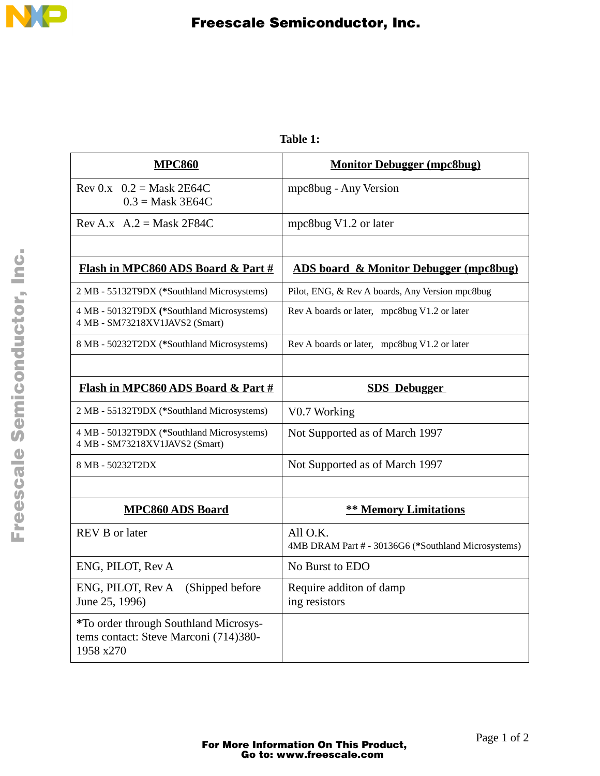

| <b>MPC860</b>                                                                                      | <b>Monitor Debugger (mpc8bug)</b>                               |
|----------------------------------------------------------------------------------------------------|-----------------------------------------------------------------|
| Rev 0.x $0.2 =$ Mask 2E64C<br>$0.3$ = Mask 3E64C                                                   | mpc8bug - Any Version                                           |
| Rev A.x $A.2 = \text{Mask } 2F84C$                                                                 | mpc8bug V1.2 or later                                           |
|                                                                                                    |                                                                 |
| Flash in MPC860 ADS Board & Part #                                                                 | <b>ADS board &amp; Monitor Debugger (mpc8bug)</b>               |
| 2 MB - 55132T9DX (*Southland Microsystems)                                                         | Pilot, ENG, & Rev A boards, Any Version mpc8bug                 |
| 4 MB - 50132T9DX (*Southland Microsystems)<br>4 MB - SM73218XV1JAVS2 (Smart)                       | Rev A boards or later, mpc8bug V1.2 or later                    |
| 8 MB - 50232T2DX (*Southland Microsystems)                                                         | Rev A boards or later, mpc8bug V1.2 or later                    |
|                                                                                                    |                                                                 |
| Flash in MPC860 ADS Board & Part #                                                                 | <b>SDS</b> Debugger                                             |
| 2 MB - 55132T9DX (*Southland Microsystems)                                                         | V0.7 Working                                                    |
| 4 MB - 50132T9DX (*Southland Microsystems)<br>4 MB - SM73218XV1JAVS2 (Smart)                       | Not Supported as of March 1997                                  |
| 8 MB - 50232T2DX                                                                                   | Not Supported as of March 1997                                  |
|                                                                                                    |                                                                 |
| <b>MPC860 ADS Board</b>                                                                            | <b>** Memory Limitations</b>                                    |
| <b>REV B</b> or later                                                                              | All O.K.<br>4MB DRAM Part # - 30136G6 (*Southland Microsystems) |
| ENG, PILOT, Rev A                                                                                  | No Burst to EDO                                                 |
| ENG, PILOT, Rev A (Shipped before<br>June 25, 1996)                                                | Require additon of damp<br>ing resistors                        |
| <i>*To order through Southland Microsys-</i><br>tems contact: Steve Marconi (714)380-<br>1958 x270 |                                                                 |

**Table 1:**